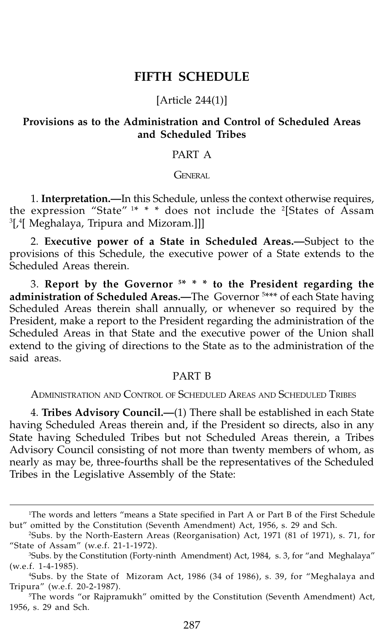# **FIFTH SCHEDULE**

## [Article 244(1)]

# **Provisions as to the Administration and Control of Scheduled Areas and Scheduled Tribes**

## PART A

**GENERAL** 

1. **Interpretation.—**In this Schedule, unless the context otherwise requires, the expression "State" <sup>1\*</sup> \* \* does not include the <sup>2</sup>[States of Assam  $^3$ [, $^4$ [ Meghalaya, Tripura and Mizoram.]]]

2. **Executive power of a State in Scheduled Areas.—**Subject to the provisions of this Schedule, the executive power of a State extends to the Scheduled Areas therein.

3. **Report by the Governor 5 \* \* \* to the President regarding the administration of Scheduled Areas.—**The Governor 5 \*\*\* of each State having Scheduled Areas therein shall annually, or whenever so required by the President, make a report to the President regarding the administration of the Scheduled Areas in that State and the executive power of the Union shall extend to the giving of directions to the State as to the administration of the said areas.

# PART B

ADMINISTRATION AND CONTROL OF SCHEDULED AREAS AND SCHEDULED TRIBES

4. **Tribes Advisory Council.—**(1) There shall be established in each State having Scheduled Areas therein and, if the President so directs, also in any State having Scheduled Tribes but not Scheduled Areas therein, a Tribes Advisory Council consisting of not more than twenty members of whom, as nearly as may be, three-fourths shall be the representatives of the Scheduled Tribes in the Legislative Assembly of the State:

<sup>1</sup> The words and letters "means a State specified in Part A or Part B of the First Schedule but" omitted by the Constitution (Seventh Amendment) Act, 1956, s. 29 and Sch.

<sup>2</sup> Subs. by the North-Eastern Areas (Reorganisation) Act, 1971 (81 of 1971), s. 71, for "State of Assam" (w.e.f. 21-1-1972).

<sup>3</sup> Subs. by the Constitution (Forty-ninth Amendment) Act, 1984, s. 3, for "and Meghalaya" (w.e.f. 1-4-1985).

<sup>4</sup> Subs. by the State of Mizoram Act, 1986 (34 of 1986), s. 39, for "Meghalaya and Tripura" (w.e.f. 20-2-1987).

<sup>5</sup> The words "or Rajpramukh" omitted by the Constitution (Seventh Amendment) Act, 1956, s. 29 and Sch.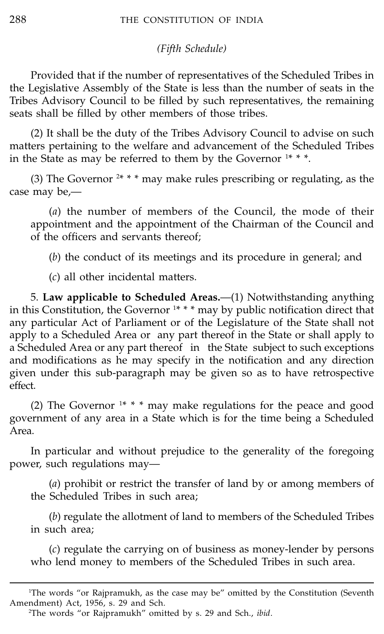## *(Fifth Schedule)*

Provided that if the number of representatives of the Scheduled Tribes in the Legislative Assembly of the State is less than the number of seats in the Tribes Advisory Council to be filled by such representatives, the remaining seats shall be filled by other members of those tribes.

(2) It shall be the duty of the Tribes Advisory Council to advise on such matters pertaining to the welfare and advancement of the Scheduled Tribes in the State as may be referred to them by the Governor  $1***$ .

(3) The Governor  $2$ \* \* \* may make rules prescribing or regulating, as the case may be,—

(*a*) the number of members of the Council, the mode of their appointment and the appointment of the Chairman of the Council and of the officers and servants thereof;

(*b*) the conduct of its meetings and its procedure in general; and

(*c*) all other incidental matters.

5. **Law applicable to Scheduled Areas.**—(1) Notwithstanding anything in this Constitution, the Governor 1 \* \* \* may by public notification direct that any particular Act of Parliament or of the Legislature of the State shall not apply to a Scheduled Area or any part thereof in the State or shall apply to a Scheduled Area or any part thereof in the State subject to such exceptions and modifications as he may specify in the notification and any direction given under this sub-paragraph may be given so as to have retrospective effect.

(2) The Governor <sup>1\*</sup> \* \* may make regulations for the peace and good government of any area in a State which is for the time being a Scheduled Area.

In particular and without prejudice to the generality of the foregoing power, such regulations may—

(*a*) prohibit or restrict the transfer of land by or among members of the Scheduled Tribes in such area;

(*b*) regulate the allotment of land to members of the Scheduled Tribes in such area;

(*c*) regulate the carrying on of business as money-lender by persons who lend money to members of the Scheduled Tribes in such area.

<sup>1</sup> The words "or Rajpramukh, as the case may be" omitted by the Constitution (Seventh Amendment) Act, 1956, s. 29 and Sch.

<sup>2</sup> The words "or Rajpramukh" omitted by s. 29 and Sch., *ibid*.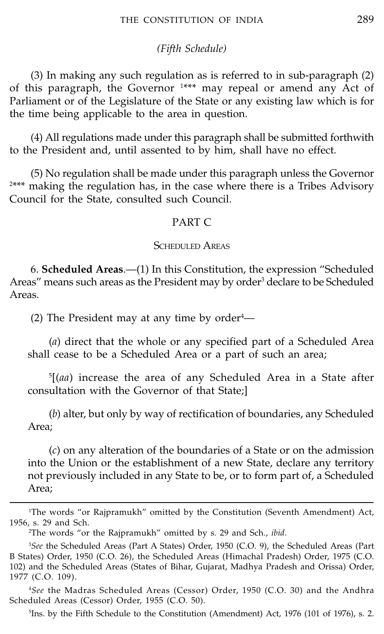#### *(Fifth Schedule)*

(3) In making any such regulation as is referred to in sub-paragraph (2) of this paragraph, the Governor <sup>1\*\*\*</sup> may repeal or amend any Act of Parliament or of the Legislature of the State or any existing law which is for the time being applicable to the area in question.

(4) All regulations made under this paragraph shall be submitted forthwith to the President and, until assented to by him, shall have no effect.

(5) No regulation shall be made under this paragraph unless the Governor 2 \*\*\* making the regulation has, in the case where there is a Tribes Advisory Council for the State, consulted such Council.

#### PART C

#### SCHEDULED AREAS

6. **Scheduled Areas**.—(1) In this Constitution, the expression "Scheduled Areas" means such areas as the President may by order<sup>3</sup> declare to be Scheduled Areas.

(2) The President may at any time by order $4$ —

(*a*) direct that the whole or any specified part of a Scheduled Area shall cease to be a Scheduled Area or a part of such an area;

5 [(*aa*) increase the area of any Scheduled Area in a State after consultation with the Governor of that State;]

(*b*) alter, but only by way of rectification of boundaries, any Scheduled Area;

(*c*) on any alteration of the boundaries of a State or on the admission into the Union or the establishment of a new State, declare any territory not previously included in any State to be, or to form part of, a Scheduled Area;

<sup>1</sup> The words "or Rajpramukh" omitted by the Constitution (Seventh Amendment) Act, 1956, s. 29 and Sch.

<sup>2</sup> The words "or the Rajpramukh" omitted by s. 29 and Sch., *ibid*.

<sup>3</sup> *See* the Scheduled Areas (Part A States) Order, 1950 (C.O. 9), the Scheduled Areas (Part B States) Order, 1950 (C.O. 26), the Scheduled Areas (Himachal Pradesh) Order, 1975 (C.O. 102) and the Scheduled Areas (States of Bihar, Gujarat, Madhya Pradesh and Orissa) Order, 1977 (C.O. 109).

<sup>4</sup> *See* the Madras Scheduled Areas (Cessor) Order, 1950 (C.O. 30) and the Andhra Scheduled Areas (Cessor) Order, 1955 (C.O. 50).

<sup>5</sup> Ins. by the Fifth Schedule to the Constitution (Amendment) Act, 1976 (101 of 1976), s. 2.